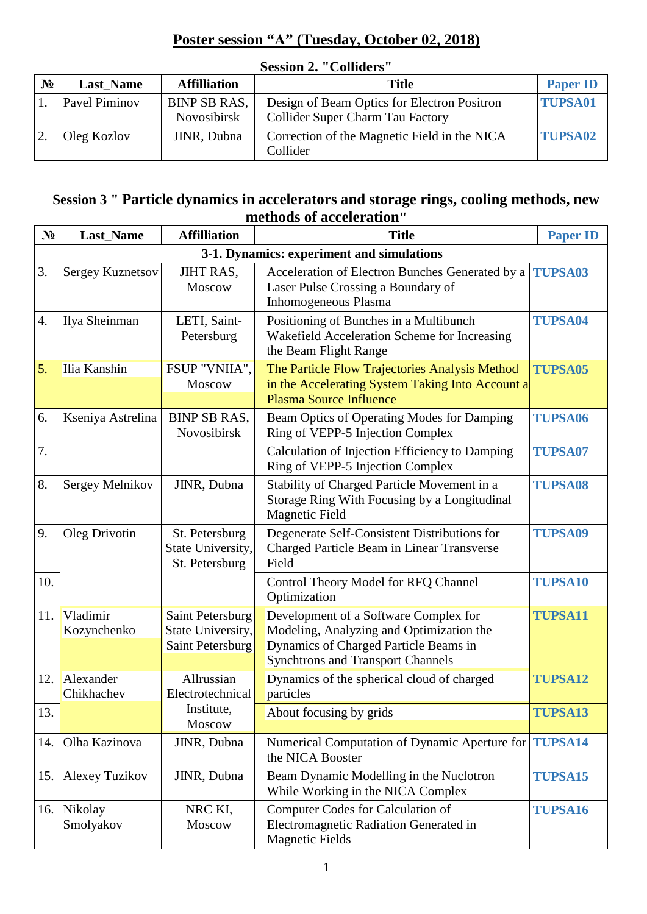## **Poster session "А" (Tuesday, October 02, 2018)**

| $N_2$ | <b>Last Name</b>     | <b>Affilliation</b>                | Title                                                                           | <b>Paper ID</b> |  |  |
|-------|----------------------|------------------------------------|---------------------------------------------------------------------------------|-----------------|--|--|
|       | <b>Pavel Piminov</b> | <b>BINP SB RAS,</b><br>Novosibirsk | Design of Beam Optics for Electron Positron<br>Collider Super Charm Tau Factory | <b>TUPSA01</b>  |  |  |
|       | Oleg Kozlov          | JINR, Dubna                        | Correction of the Magnetic Field in the NICA<br>Collider                        | <b>TUPSA02</b>  |  |  |

## **Session 2. "Colliders"**

## **Session 3 " Particle dynamics in accelerators and storage rings, cooling methods, new methods of acceleration"**

| $N_2$ | <b>Last_Name</b>                          | <b>Affilliation</b>                                       | <b>Title</b>                                                                                                                                                           | <b>Paper ID</b> |  |  |
|-------|-------------------------------------------|-----------------------------------------------------------|------------------------------------------------------------------------------------------------------------------------------------------------------------------------|-----------------|--|--|
|       | 3-1. Dynamics: experiment and simulations |                                                           |                                                                                                                                                                        |                 |  |  |
| 3.    | Sergey Kuznetsov                          | <b>JIHT RAS,</b><br>Moscow                                | Acceleration of Electron Bunches Generated by a<br>Laser Pulse Crossing a Boundary of<br>Inhomogeneous Plasma                                                          | <b>TUPSA03</b>  |  |  |
| 4.    | Ilya Sheinman                             | LETI, Saint-<br>Petersburg                                | Positioning of Bunches in a Multibunch<br>Wakefield Acceleration Scheme for Increasing<br>the Beam Flight Range                                                        | <b>TUPSA04</b>  |  |  |
| 5.    | Ilia Kanshin                              | FSUP "VNIIA",<br><b>Moscow</b>                            | The Particle Flow Trajectories Analysis Method<br>in the Accelerating System Taking Into Account a<br><b>Plasma Source Influence</b>                                   | <b>TUPSA05</b>  |  |  |
| 6.    | Kseniya Astrelina                         | <b>BINP SB RAS,</b><br>Novosibirsk                        | Beam Optics of Operating Modes for Damping<br>Ring of VEPP-5 Injection Complex                                                                                         | <b>TUPSA06</b>  |  |  |
| 7.    |                                           |                                                           | Calculation of Injection Efficiency to Damping<br>Ring of VEPP-5 Injection Complex                                                                                     | <b>TUPSA07</b>  |  |  |
| 8.    | Sergey Melnikov                           | JINR, Dubna                                               | Stability of Charged Particle Movement in a<br>Storage Ring With Focusing by a Longitudinal<br><b>Magnetic Field</b>                                                   | <b>TUPSA08</b>  |  |  |
| 9.    | Oleg Drivotin                             | St. Petersburg<br>State University,<br>St. Petersburg     | Degenerate Self-Consistent Distributions for<br>Charged Particle Beam in Linear Transverse<br>Field                                                                    | <b>TUPSA09</b>  |  |  |
| 10.   |                                           |                                                           | Control Theory Model for RFQ Channel<br>Optimization                                                                                                                   | <b>TUPSA10</b>  |  |  |
| 11.   | Vladimir<br>Kozynchenko                   | Saint Petersburg<br>State University,<br>Saint Petersburg | Development of a Software Complex for<br>Modeling, Analyzing and Optimization the<br>Dynamics of Charged Particle Beams in<br><b>Synchtrons and Transport Channels</b> | <b>TUPSA11</b>  |  |  |
| 12.   | Alexander<br>Chikhachev                   | Allrussian<br>Electrotechnical                            | Dynamics of the spherical cloud of charged<br>particles                                                                                                                | <b>TUPSA12</b>  |  |  |
| 13.   |                                           | Institute,<br>Moscow                                      | About focusing by grids                                                                                                                                                | <b>TUPSA13</b>  |  |  |
| 14.   | Olha Kazinova                             | JINR, Dubna                                               | Numerical Computation of Dynamic Aperture for <b>TUPSA14</b><br>the NICA Booster                                                                                       |                 |  |  |
| 15.   | <b>Alexey Tuzikov</b>                     | JINR, Dubna                                               | Beam Dynamic Modelling in the Nuclotron<br>While Working in the NICA Complex                                                                                           | <b>TUPSA15</b>  |  |  |
|       | 16. Nikolay<br>Smolyakov                  | NRC KI,<br>Moscow                                         | Computer Codes for Calculation of<br>Electromagnetic Radiation Generated in<br><b>Magnetic Fields</b>                                                                  | <b>TUPSA16</b>  |  |  |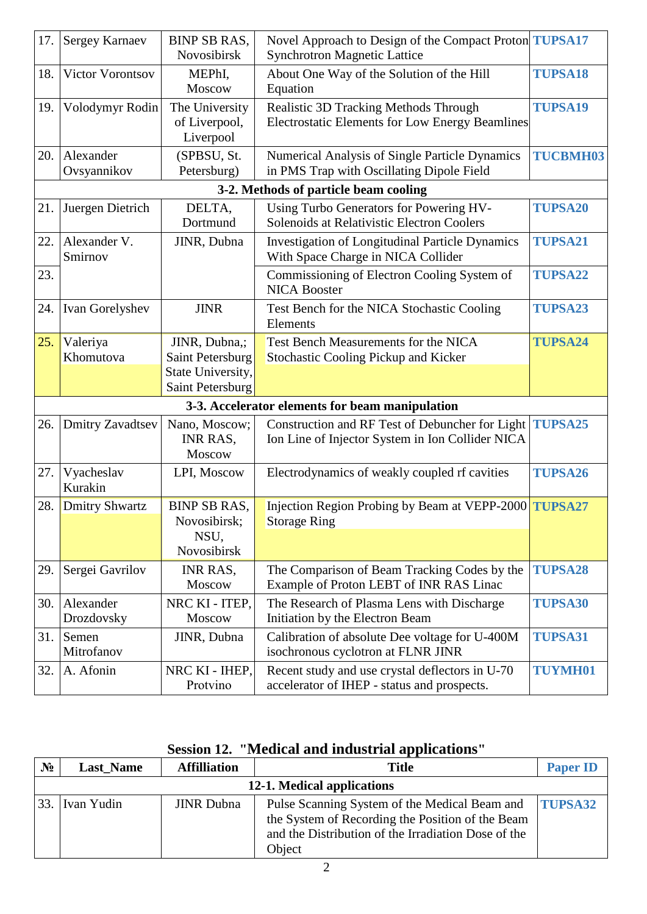| 17. | <b>Sergey Karnaev</b>   | <b>BINP SB RAS,</b> | Novel Approach to Design of the Compact Proton TUPSA17  |                 |
|-----|-------------------------|---------------------|---------------------------------------------------------|-----------------|
|     |                         | Novosibirsk         | <b>Synchrotron Magnetic Lattice</b>                     |                 |
| 18. | Victor Vorontsov        | MEPhI,<br>Moscow    | About One Way of the Solution of the Hill<br>Equation   | <b>TUPSA18</b>  |
| 19. | Volodymyr Rodin         | The University      | Realistic 3D Tracking Methods Through                   | <b>TUPSA19</b>  |
|     |                         | of Liverpool,       | <b>Electrostatic Elements for Low Energy Beamlines</b>  |                 |
|     |                         | Liverpool           |                                                         |                 |
|     | 20. Alexander           | (SPBSU, St.         | Numerical Analysis of Single Particle Dynamics          | <b>TUCBMH03</b> |
|     | Ovsyannikov             | Petersburg)         | in PMS Trap with Oscillating Dipole Field               |                 |
|     |                         |                     | 3-2. Methods of particle beam cooling                   |                 |
| 21. | Juergen Dietrich        | DELTA,              | Using Turbo Generators for Powering HV-                 | <b>TUPSA20</b>  |
|     |                         | Dortmund            | Solenoids at Relativistic Electron Coolers              |                 |
| 22. | Alexander V.            | JINR, Dubna         | <b>Investigation of Longitudinal Particle Dynamics</b>  | <b>TUPSA21</b>  |
|     | Smirnov                 |                     | With Space Charge in NICA Collider                      |                 |
| 23. |                         |                     | Commissioning of Electron Cooling System of             | <b>TUPSA22</b>  |
|     |                         |                     | <b>NICA Booster</b>                                     |                 |
| 24. | Ivan Gorelyshev         | <b>JINR</b>         | Test Bench for the NICA Stochastic Cooling              | <b>TUPSA23</b>  |
|     |                         |                     | Elements                                                |                 |
| 25. | Valeriya                | JINR, Dubna,;       | Test Bench Measurements for the NICA                    | <b>TUPSA24</b>  |
|     | Khomutova               | Saint Petersburg    | <b>Stochastic Cooling Pickup and Kicker</b>             |                 |
|     |                         | State University,   |                                                         |                 |
|     |                         | Saint Petersburg    |                                                         |                 |
|     |                         |                     | 3-3. Accelerator elements for beam manipulation         |                 |
| 26. | <b>Dmitry Zavadtsev</b> | Nano, Moscow;       | Construction and RF Test of Debuncher for Light TUPSA25 |                 |
|     |                         | INR RAS,            | Ion Line of Injector System in Ion Collider NICA        |                 |
|     |                         | Moscow              |                                                         |                 |
| 27. | Vyacheslav              | LPI, Moscow         | Electrodynamics of weakly coupled rf cavities           | <b>TUPSA26</b>  |
|     | Kurakin                 |                     |                                                         |                 |
| 28. | Dmitry Shwartz          | <b>BINP SB RAS,</b> | Injection Region Probing by Beam at VEPP-2000 TUPSA27   |                 |
|     |                         | Novosibirsk;        | <b>Storage Ring</b>                                     |                 |
|     |                         | NSU,                |                                                         |                 |
|     |                         | Novosibirsk         |                                                         |                 |
| 29. | Sergei Gavrilov         | INR RAS,            | The Comparison of Beam Tracking Codes by the            | <b>TUPSA28</b>  |
|     |                         | Moscow              | Example of Proton LEBT of INR RAS Linac                 |                 |
| 30. | Alexander               | NRC KI - ITEP,      | The Research of Plasma Lens with Discharge              | <b>TUPSA30</b>  |
|     | Drozdovsky              | Moscow              | Initiation by the Electron Beam                         |                 |
| 31. | Semen                   | JINR, Dubna         | Calibration of absolute Dee voltage for U-400M          | <b>TUPSA31</b>  |
|     | Mitrofanov              |                     | isochronous cyclotron at FLNR JINR                      |                 |
| 32. | A. Afonin               | NRC KI - IHEP,      | Recent study and use crystal deflectors in U-70         | <b>TUYMH01</b>  |
|     |                         | Protvino            | accelerator of IHEP - status and prospects.             |                 |

## **Session 12. "Medical and industrial applications"**

| $N_2$ | <b>Last Name</b>           | <b>Affilliation</b> | <b>Title</b>                                                                                                                                                                      | <b>Paper ID</b> |  |  |
|-------|----------------------------|---------------------|-----------------------------------------------------------------------------------------------------------------------------------------------------------------------------------|-----------------|--|--|
|       | 12-1. Medical applications |                     |                                                                                                                                                                                   |                 |  |  |
|       | [33. [Ivan Yudin]          | <b>JINR</b> Dubna   | Pulse Scanning System of the Medical Beam and <b>TUPSA32</b><br>the System of Recording the Position of the Beam<br>and the Distribution of the Irradiation Dose of the<br>Object |                 |  |  |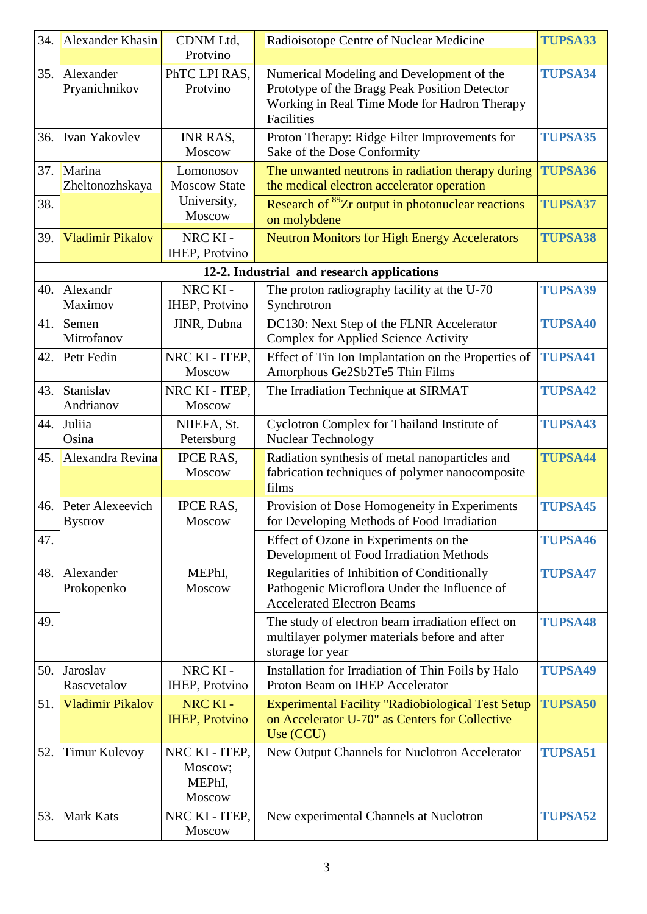| 34. | Alexander Khasin                   | CDNM Ltd,                                     | Radioisotope Centre of Nuclear Medicine                                                                                                                  | <b>TUPSA33</b> |
|-----|------------------------------------|-----------------------------------------------|----------------------------------------------------------------------------------------------------------------------------------------------------------|----------------|
|     |                                    | Protvino                                      |                                                                                                                                                          |                |
| 35. | Alexander<br>Pryanichnikov         | PhTC LPI RAS,<br>Protvino                     | Numerical Modeling and Development of the<br>Prototype of the Bragg Peak Position Detector<br>Working in Real Time Mode for Hadron Therapy<br>Facilities | <b>TUPSA34</b> |
| 36. | Ivan Yakovlev                      | INR RAS,<br>Moscow                            | Proton Therapy: Ridge Filter Improvements for<br>Sake of the Dose Conformity                                                                             | <b>TUPSA35</b> |
| 37. | Marina<br>Zheltonozhskaya          | Lomonosov<br><b>Moscow State</b>              | The unwanted neutrons in radiation therapy during<br>the medical electron accelerator operation                                                          | <b>TUPSA36</b> |
| 38. |                                    | University,<br>Moscow                         | Research of <sup>89</sup> Zr output in photonuclear reactions<br>on molybdene                                                                            | <b>TUPSA37</b> |
| 39. | <b>Vladimir Pikalov</b>            | NRC KI-<br><b>IHEP, Protvino</b>              | <b>Neutron Monitors for High Energy Accelerators</b>                                                                                                     | <b>TUPSA38</b> |
|     |                                    |                                               | 12-2. Industrial and research applications                                                                                                               |                |
| 40. | Alexandr<br>Maximov                | NRC KI-<br><b>IHEP</b> , Protvino             | The proton radiography facility at the U-70<br>Synchrotron                                                                                               | <b>TUPSA39</b> |
| 41. | Semen<br>Mitrofanov                | JINR, Dubna                                   | DC130: Next Step of the FLNR Accelerator<br><b>Complex for Applied Science Activity</b>                                                                  | <b>TUPSA40</b> |
| 42. | Petr Fedin                         | NRC KI - ITEP,<br>Moscow                      | Effect of Tin Ion Implantation on the Properties of<br>Amorphous Ge2Sb2Te5 Thin Films                                                                    | <b>TUPSA41</b> |
| 43. | Stanislav<br>Andrianov             | NRC KI - ITEP,<br>Moscow                      | The Irradiation Technique at SIRMAT                                                                                                                      | <b>TUPSA42</b> |
| 44. | Juliia<br>Osina                    | NIIEFA, St.<br>Petersburg                     | Cyclotron Complex for Thailand Institute of<br>Nuclear Technology                                                                                        | <b>TUPSA43</b> |
| 45. | Alexandra Revina                   | <b>IPCE RAS.</b><br>Moscow                    | Radiation synthesis of metal nanoparticles and<br>fabrication techniques of polymer nanocomposite<br>films                                               | <b>TUPSA44</b> |
| 46. | Peter Alexeevich<br><b>Bystrov</b> | <b>IPCE RAS,</b><br><b>Moscow</b>             | Provision of Dose Homogeneity in Experiments<br>for Developing Methods of Food Irradiation                                                               | <b>TUPSA45</b> |
| 47. |                                    |                                               | Effect of Ozone in Experiments on the<br>Development of Food Irradiation Methods                                                                         | <b>TUPSA46</b> |
| 48. | Alexander<br>Prokopenko            | MEPhI,<br>Moscow                              | Regularities of Inhibition of Conditionally<br>Pathogenic Microflora Under the Influence of<br><b>Accelerated Electron Beams</b>                         | <b>TUPSA47</b> |
| 49. |                                    |                                               | The study of electron beam irradiation effect on<br>multilayer polymer materials before and after<br>storage for year                                    | <b>TUPSA48</b> |
| 50. | Jaroslav<br>Rascvetalov            | NRC KI-<br><b>IHEP</b> , Protvino             | Installation for Irradiation of Thin Foils by Halo<br>Proton Beam on IHEP Accelerator                                                                    | <b>TUPSA49</b> |
| 51. | <b>Vladimir Pikalov</b>            | NRC KI-<br><b>IHEP</b> , Protvino             | <b>Experimental Facility "Radiobiological Test Setup</b><br>on Accelerator U-70" as Centers for Collective<br>Use (CCU)                                  | <b>TUPSA50</b> |
| 52. | <b>Timur Kulevoy</b>               | NRC KI - ITEP,<br>Moscow;<br>MEPhI,<br>Moscow | New Output Channels for Nuclotron Accelerator                                                                                                            | <b>TUPSA51</b> |
| 53. | <b>Mark Kats</b>                   | NRC KI - ITEP,<br>Moscow                      | New experimental Channels at Nuclotron                                                                                                                   | <b>TUPSA52</b> |